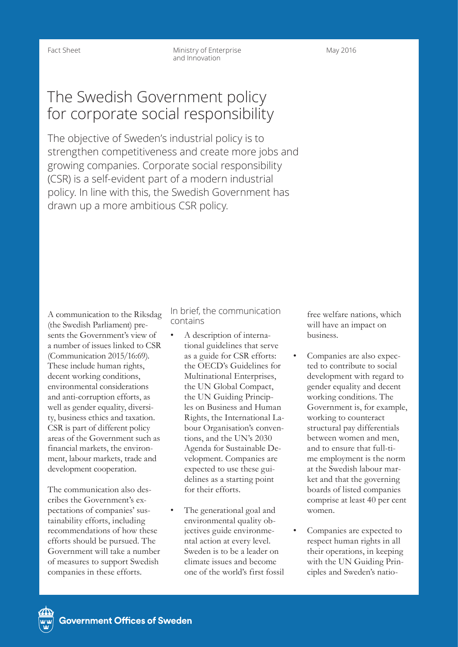# The Swedish Government policy for corporate social responsibility

The objective of Sweden's industrial policy is to strengthen competitiveness and create more jobs and growing companies. Corporate social responsibility (CSR) is a self-evident part of a modern industrial policy. In line with this, the Swedish Government has drawn up a more ambitious CSR policy.

A communication to the Riksdag (the Swedish Parliament) presents the Government's view of a number of issues linked to CSR (Communication 2015/16:69). These include human rights, decent working conditions, environmental considerations and anti-corruption efforts, as well as gender equality, diversity, business ethics and taxation. CSR is part of different policy areas of the Government such as financial markets, the environment, labour markets, trade and development cooperation.

The communication also describes the Government's expectations of companies' sustainability efforts, including recommendations of how these efforts should be pursued. The Government will take a number of measures to support Swedish companies in these efforts.

In brief, the communication contains

- A description of international guidelines that serve as a guide for CSR efforts: the OECD's Guidelines for Multinational Enterprises, the UN Global Compact, the UN Guiding Principles on Business and Human Rights, the International Labour Organisation's conventions, and the UN's 2030 Agenda for Sustainable Development. Companies are expected to use these guidelines as a starting point for their efforts.
- The generational goal and environmental quality objectives guide environmental action at every level. Sweden is to be a leader on climate issues and become one of the world's first fossil

free welfare nations, which will have an impact on business.

- Companies are also expected to contribute to social development with regard to gender equality and decent working conditions. The Government is, for example, working to counteract structural pay differentials between women and men, and to ensure that full-time employment is the norm at the Swedish labour market and that the governing boards of listed companies comprise at least 40 per cent women.
- Companies are expected to respect human rights in all their operations, in keeping with the UN Guiding Principles and Sweden's natio-